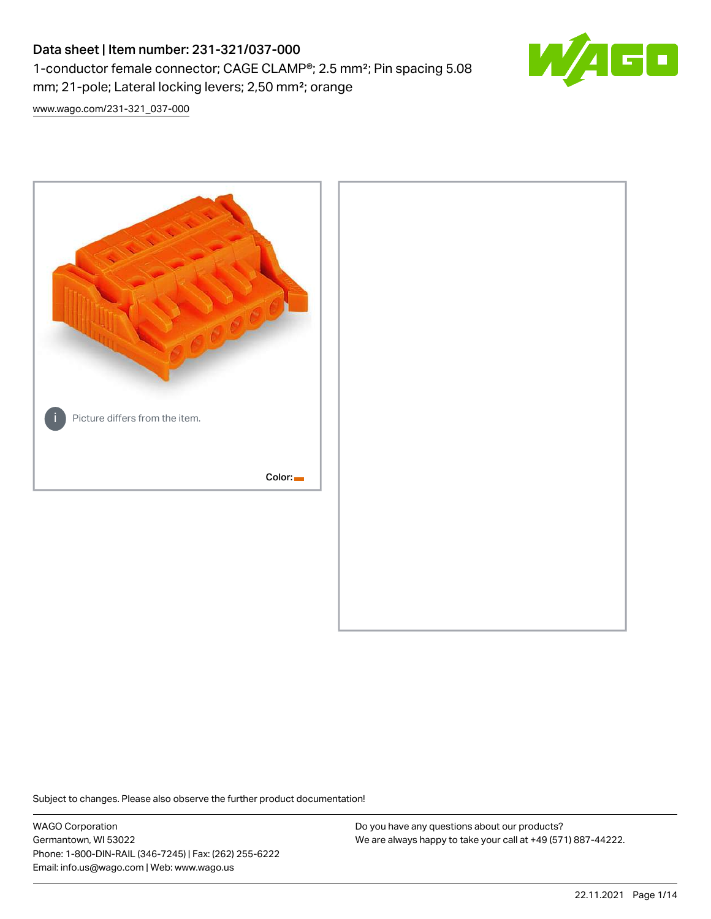# Data sheet | Item number: 231-321/037-000 1-conductor female connector; CAGE CLAMP®; 2.5 mm²; Pin spacing 5.08 mm; 21-pole; Lateral locking levers; 2,50 mm²; orange



[www.wago.com/231-321\\_037-000](http://www.wago.com/231-321_037-000)



Subject to changes. Please also observe the further product documentation!

WAGO Corporation Germantown, WI 53022 Phone: 1-800-DIN-RAIL (346-7245) | Fax: (262) 255-6222 Email: info.us@wago.com | Web: www.wago.us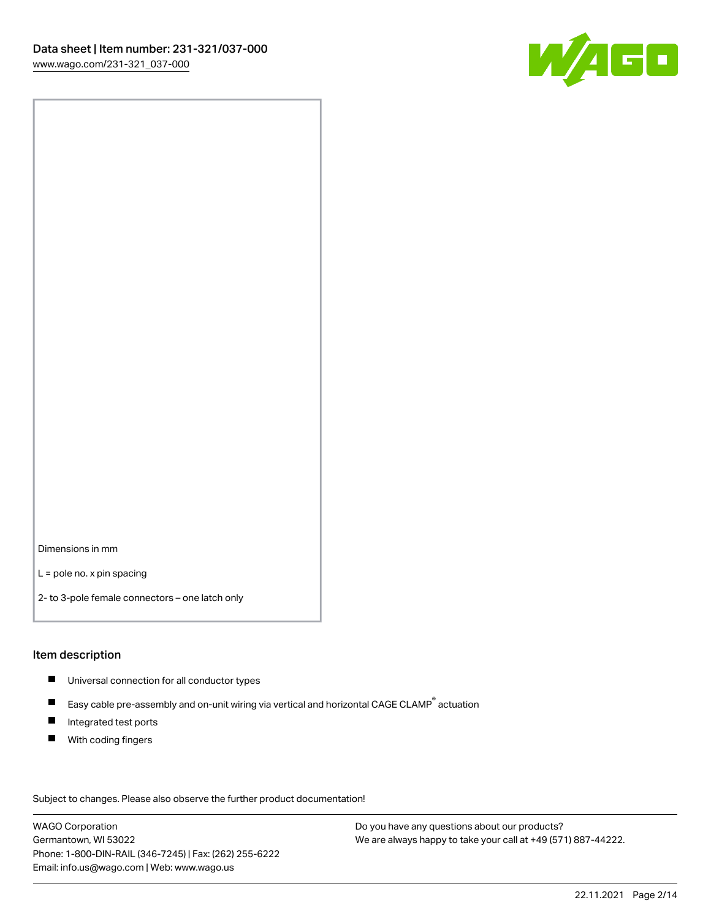

Dimensions in mm

L = pole no. x pin spacing

2- to 3-pole female connectors – one latch only

### Item description

- **Universal connection for all conductor types**
- Easy cable pre-assembly and on-unit wiring via vertical and horizontal CAGE CLAMP<sup>®</sup> actuation  $\blacksquare$
- $\blacksquare$ Integrated test ports
- $\blacksquare$ With coding fingers

Subject to changes. Please also observe the further product documentation! Data

WAGO Corporation Germantown, WI 53022 Phone: 1-800-DIN-RAIL (346-7245) | Fax: (262) 255-6222 Email: info.us@wago.com | Web: www.wago.us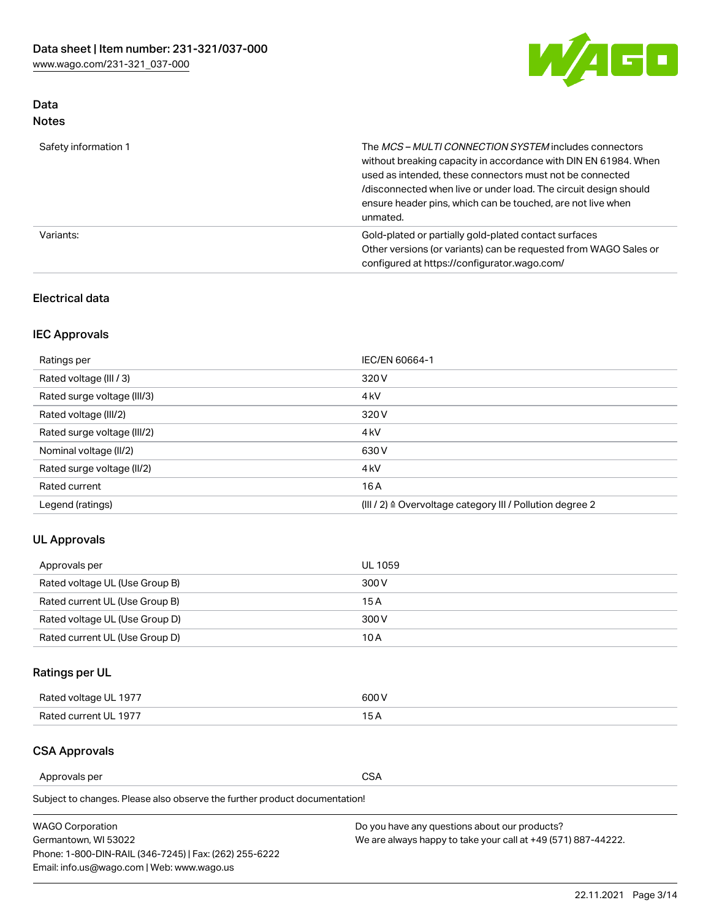

## Data Notes

| Safety information 1 | The <i>MCS – MULTI CONNECTION SYSTEM</i> includes connectors<br>without breaking capacity in accordance with DIN EN 61984. When<br>used as intended, these connectors must not be connected<br>/disconnected when live or under load. The circuit design should<br>ensure header pins, which can be touched, are not live when<br>unmated. |
|----------------------|--------------------------------------------------------------------------------------------------------------------------------------------------------------------------------------------------------------------------------------------------------------------------------------------------------------------------------------------|
| Variants:            | Gold-plated or partially gold-plated contact surfaces<br>Other versions (or variants) can be requested from WAGO Sales or<br>configured at https://configurator.wago.com/                                                                                                                                                                  |

## Electrical data

## IEC Approvals

| Ratings per                 | IEC/EN 60664-1                                                        |
|-----------------------------|-----------------------------------------------------------------------|
| Rated voltage (III / 3)     | 320 V                                                                 |
| Rated surge voltage (III/3) | 4 <sub>k</sub> V                                                      |
| Rated voltage (III/2)       | 320 V                                                                 |
| Rated surge voltage (III/2) | 4 <sub>k</sub> V                                                      |
| Nominal voltage (II/2)      | 630 V                                                                 |
| Rated surge voltage (II/2)  | 4 <sub>k</sub> V                                                      |
| Rated current               | 16A                                                                   |
| Legend (ratings)            | $(III / 2)$ $\triangle$ Overvoltage category III / Pollution degree 2 |

## UL Approvals

| Approvals per                  | UL 1059 |
|--------------------------------|---------|
| Rated voltage UL (Use Group B) | 300 V   |
| Rated current UL (Use Group B) | 15 A    |
| Rated voltage UL (Use Group D) | 300 V   |
| Rated current UL (Use Group D) | 10 A    |

## Ratings per UL

| Rated voltage UL 1977 | 600 V         |
|-----------------------|---------------|
| Rated current UL 1977 | $\sim$ $\sim$ |

## CSA Approvals

Approvals per CSA

Subject to changes. Please also observe the further product documentation!

| <b>WAGO Corporation</b>                                | Do you have any questions about our products?                 |
|--------------------------------------------------------|---------------------------------------------------------------|
| Germantown, WI 53022                                   | We are always happy to take your call at +49 (571) 887-44222. |
| Phone: 1-800-DIN-RAIL (346-7245)   Fax: (262) 255-6222 |                                                               |
| Email: info.us@wago.com   Web: www.wago.us             |                                                               |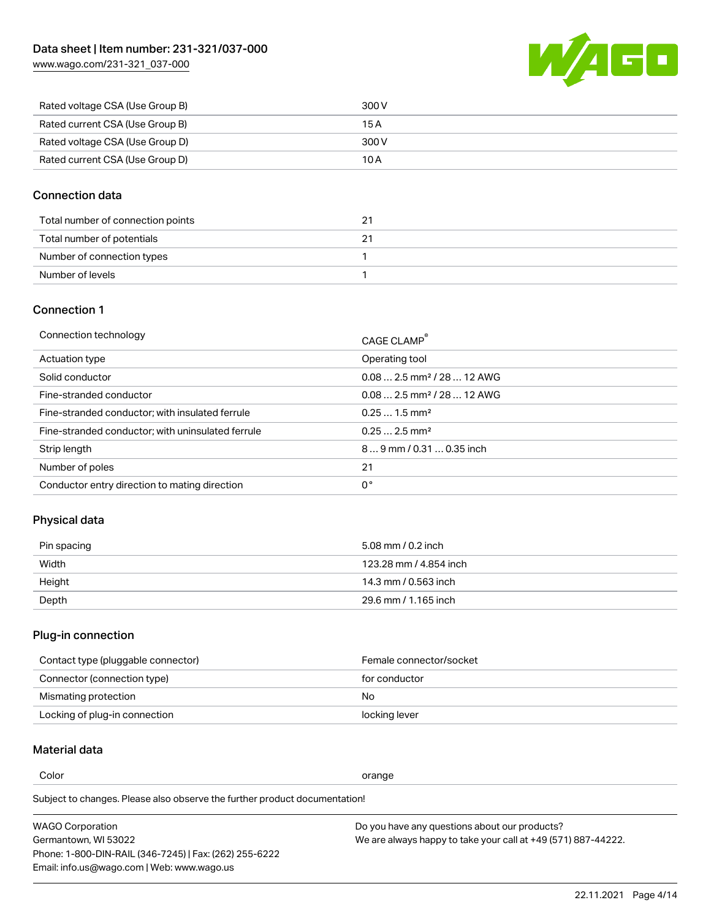

| Rated voltage CSA (Use Group B) | 300 V |
|---------------------------------|-------|
| Rated current CSA (Use Group B) | 15 A  |
| Rated voltage CSA (Use Group D) | 300 V |
| Rated current CSA (Use Group D) | 10 A  |

### Connection data

| Total number of connection points |  |
|-----------------------------------|--|
| Total number of potentials        |  |
| Number of connection types        |  |
| Number of levels                  |  |

## Connection 1

| Connection technology                             | CAGE CLAMP®                             |
|---------------------------------------------------|-----------------------------------------|
| Actuation type                                    | Operating tool                          |
| Solid conductor                                   | $0.08$ 2.5 mm <sup>2</sup> / 28  12 AWG |
| Fine-stranded conductor                           | $0.082.5$ mm <sup>2</sup> / 28  12 AWG  |
| Fine-stranded conductor; with insulated ferrule   | $0.251.5$ mm <sup>2</sup>               |
| Fine-stranded conductor; with uninsulated ferrule | $0.252.5$ mm <sup>2</sup>               |
| Strip length                                      | $89$ mm / 0.31  0.35 inch               |
| Number of poles                                   | 21                                      |
| Conductor entry direction to mating direction     | 0°                                      |
|                                                   |                                         |

## Physical data

| Pin spacing | 5.08 mm / 0.2 inch     |
|-------------|------------------------|
| Width       | 123.28 mm / 4.854 inch |
| Height      | 14.3 mm / 0.563 inch   |
| Depth       | 29.6 mm / 1.165 inch   |

## Plug-in connection

| Contact type (pluggable connector) | Female connector/socket |
|------------------------------------|-------------------------|
| Connector (connection type)        | for conductor           |
| Mismating protection               | No.                     |
| Locking of plug-in connection      | locking lever           |

## Material data

Color contracts and contracts of the contracts of the contracts of the contracts of the contracts of the contracts of the contracts of the contracts of the contracts of the contracts of the contracts of the contracts of th

Subject to changes. Please also observe the further product documentation! Material group I

| <b>WAGO Corporation</b>                                | Do you have any questions about our products?                 |
|--------------------------------------------------------|---------------------------------------------------------------|
| Germantown, WI 53022                                   | We are always happy to take your call at +49 (571) 887-44222. |
| Phone: 1-800-DIN-RAIL (346-7245)   Fax: (262) 255-6222 |                                                               |
| Email: info.us@wago.com   Web: www.wago.us             |                                                               |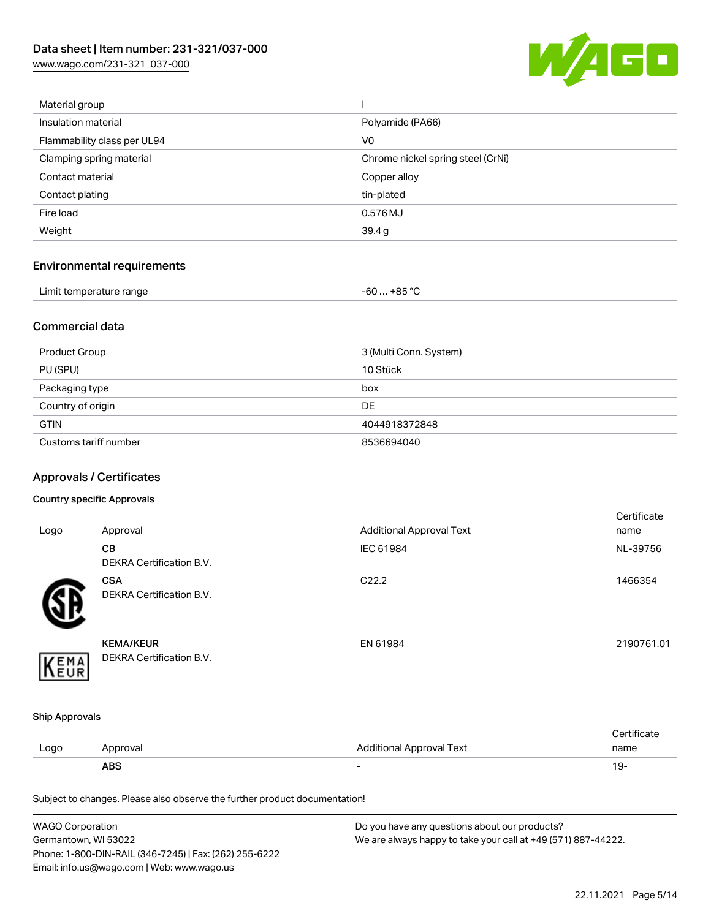

| Material group              |                                   |
|-----------------------------|-----------------------------------|
| Insulation material         | Polyamide (PA66)                  |
| Flammability class per UL94 | V <sub>0</sub>                    |
| Clamping spring material    | Chrome nickel spring steel (CrNi) |
| Contact material            | Copper alloy                      |
| Contact plating             | tin-plated                        |
| Fire load                   | 0.576 MJ                          |
| Weight                      | 39.4g                             |
|                             |                                   |

## Environmental requirements

| Limit temperature range<br>. | ,+85 °ົ<br>-60 |  |
|------------------------------|----------------|--|
|------------------------------|----------------|--|

### Commercial data

| Product Group         | 3 (Multi Conn. System) |
|-----------------------|------------------------|
| PU (SPU)              | 10 Stück               |
| Packaging type        | box                    |
| Country of origin     | <b>DE</b>              |
| <b>GTIN</b>           | 4044918372848          |
| Customs tariff number | 8536694040             |

## Approvals / Certificates

#### Country specific Approvals

| Logo                  | Approval                                                                   | <b>Additional Approval Text</b> | Certificate<br>name |
|-----------------------|----------------------------------------------------------------------------|---------------------------------|---------------------|
|                       | CB<br>DEKRA Certification B.V.                                             | IEC 61984                       | NL-39756            |
|                       | <b>CSA</b><br><b>DEKRA Certification B.V.</b>                              | C22.2                           | 1466354             |
| EMA                   | <b>KEMA/KEUR</b><br>DEKRA Certification B.V.                               | EN 61984                        | 2190761.01          |
| <b>Ship Approvals</b> |                                                                            |                                 |                     |
| Logo                  | Approval                                                                   | <b>Additional Approval Text</b> | Certificate<br>name |
|                       | <b>ABS</b>                                                                 |                                 | $19 -$              |
|                       | Subject to changes. Please also observe the further product documentation! |                                 |                     |

| <b>WAGO Corporation</b>                                | Do you have any questions about our products?                 |
|--------------------------------------------------------|---------------------------------------------------------------|
| Germantown, WI 53022                                   | We are always happy to take your call at +49 (571) 887-44222. |
| Phone: 1-800-DIN-RAIL (346-7245)   Fax: (262) 255-6222 |                                                               |
| Email: info.us@wago.com   Web: www.wago.us             |                                                               |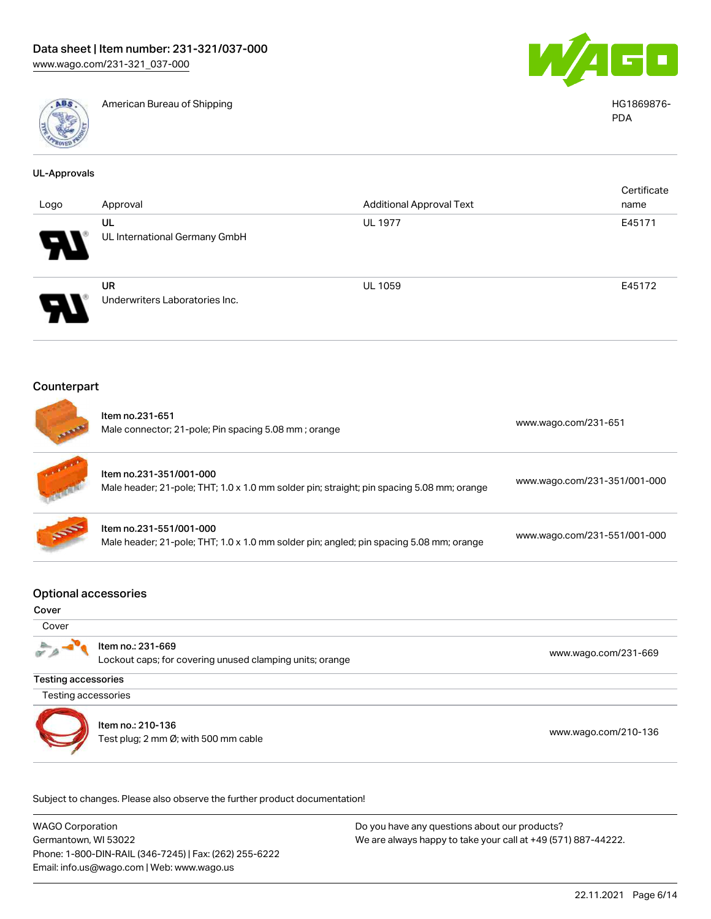

American Bureau of Shipping HG1869876-



PDA

| <b>UL-Approvals</b>         |                                                           |                                                                                           |                              |
|-----------------------------|-----------------------------------------------------------|-------------------------------------------------------------------------------------------|------------------------------|
|                             |                                                           |                                                                                           | Certificate                  |
| Logo                        | Approval                                                  | <b>Additional Approval Text</b>                                                           | name                         |
|                             | UL                                                        | <b>UL 1977</b>                                                                            | E45171                       |
|                             | UL International Germany GmbH                             |                                                                                           |                              |
|                             | <b>UR</b>                                                 | UL 1059                                                                                   | E45172                       |
|                             | Underwriters Laboratories Inc.                            |                                                                                           |                              |
| Counterpart                 |                                                           |                                                                                           |                              |
|                             | Item no.231-651                                           |                                                                                           | www.wago.com/231-651         |
|                             | Male connector; 21-pole; Pin spacing 5.08 mm; orange      |                                                                                           |                              |
|                             | Item no.231-351/001-000                                   |                                                                                           |                              |
|                             |                                                           | Male header; 21-pole; THT; 1.0 x 1.0 mm solder pin; straight; pin spacing 5.08 mm; orange | www.wago.com/231-351/001-000 |
|                             | Item no.231-551/001-000                                   |                                                                                           | www.wago.com/231-551/001-000 |
|                             |                                                           | Male header; 21-pole; THT; 1.0 x 1.0 mm solder pin; angled; pin spacing 5.08 mm; orange   |                              |
| <b>Optional accessories</b> |                                                           |                                                                                           |                              |
| Cover                       |                                                           |                                                                                           |                              |
| Cover                       |                                                           |                                                                                           |                              |
|                             | Item no.: 231-669                                         |                                                                                           |                              |
|                             | Lockout caps; for covering unused clamping units; orange  |                                                                                           | www.wago.com/231-669         |
| <b>Testing accessories</b>  |                                                           |                                                                                           |                              |
| Testing accessories         |                                                           |                                                                                           |                              |
|                             |                                                           |                                                                                           |                              |
|                             | Item no.: 210-136<br>Test plug; 2 mm Ø; with 500 mm cable |                                                                                           | www.wago.com/210-136         |
|                             |                                                           |                                                                                           |                              |

Subject to changes. Please also observe the further product documentation!

WAGO Corporation Germantown, WI 53022 Phone: 1-800-DIN-RAIL (346-7245) | Fax: (262) 255-6222 Email: info.us@wago.com | Web: www.wago.us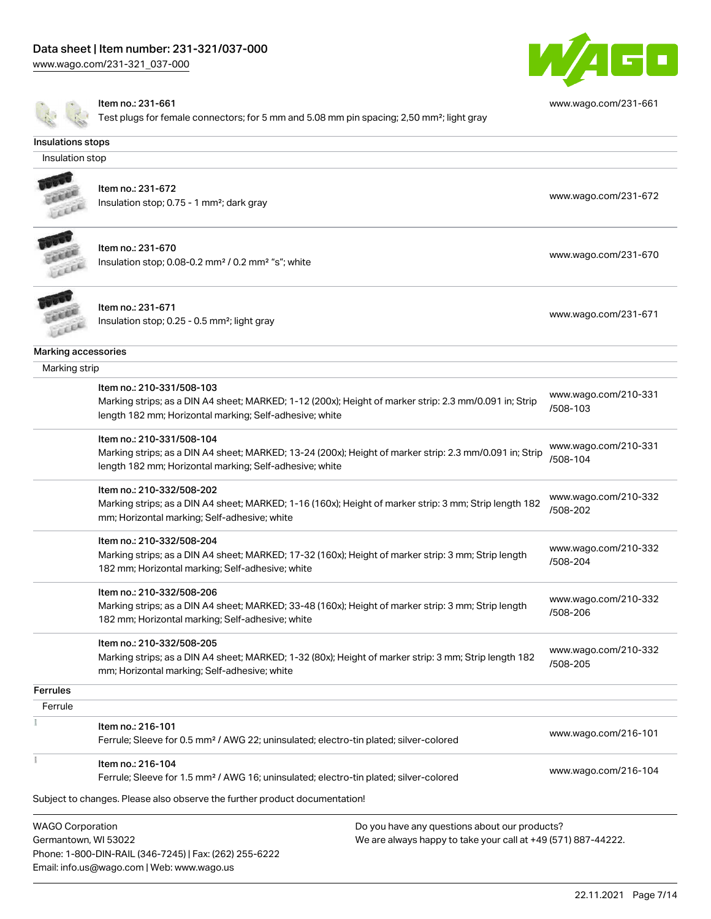

[www.wago.com/231-661](http://www.wago.com/231-661)

Item no.: 231-661

Email: info.us@wago.com | Web: www.wago.us

 $\blacksquare$  Test plugs for female connectors; for 5 mm and 5.08 mm pin spacing; 2,50 mm²; light gray

| Insulations stops                               |                                                                                                                                                                                                 |                                                                                                                |                                  |
|-------------------------------------------------|-------------------------------------------------------------------------------------------------------------------------------------------------------------------------------------------------|----------------------------------------------------------------------------------------------------------------|----------------------------------|
| Insulation stop                                 |                                                                                                                                                                                                 |                                                                                                                |                                  |
|                                                 | Item no.: 231-672<br>Insulation stop; 0.75 - 1 mm <sup>2</sup> ; dark gray                                                                                                                      |                                                                                                                | www.wago.com/231-672             |
|                                                 | Item no.: 231-670<br>Insulation stop; 0.08-0.2 mm <sup>2</sup> / 0.2 mm <sup>2</sup> "s"; white                                                                                                 |                                                                                                                | www.wago.com/231-670             |
|                                                 | Item no.: 231-671<br>Insulation stop; 0.25 - 0.5 mm <sup>2</sup> ; light gray                                                                                                                   |                                                                                                                | www.wago.com/231-671             |
| Marking accessories                             |                                                                                                                                                                                                 |                                                                                                                |                                  |
| Marking strip                                   |                                                                                                                                                                                                 |                                                                                                                |                                  |
|                                                 | Item no.: 210-331/508-103<br>Marking strips; as a DIN A4 sheet; MARKED; 1-12 (200x); Height of marker strip: 2.3 mm/0.091 in; Strip<br>length 182 mm; Horizontal marking; Self-adhesive; white  |                                                                                                                | www.wago.com/210-331<br>/508-103 |
|                                                 | Item no.: 210-331/508-104<br>Marking strips; as a DIN A4 sheet; MARKED; 13-24 (200x); Height of marker strip: 2.3 mm/0.091 in; Strip<br>length 182 mm; Horizontal marking; Self-adhesive; white |                                                                                                                | www.wago.com/210-331<br>/508-104 |
|                                                 | Item no.: 210-332/508-202<br>Marking strips; as a DIN A4 sheet; MARKED; 1-16 (160x); Height of marker strip: 3 mm; Strip length 182<br>mm; Horizontal marking; Self-adhesive; white             |                                                                                                                | www.wago.com/210-332<br>/508-202 |
|                                                 | Item no.: 210-332/508-204<br>Marking strips; as a DIN A4 sheet; MARKED; 17-32 (160x); Height of marker strip: 3 mm; Strip length<br>182 mm; Horizontal marking; Self-adhesive; white            |                                                                                                                | www.wago.com/210-332<br>/508-204 |
|                                                 | Item no.: 210-332/508-206<br>Marking strips; as a DIN A4 sheet; MARKED; 33-48 (160x); Height of marker strip: 3 mm; Strip length<br>182 mm; Horizontal marking; Self-adhesive; white            |                                                                                                                | www.wago.com/210-332<br>/508-206 |
|                                                 | Item no.: 210-332/508-205<br>Marking strips; as a DIN A4 sheet; MARKED; 1-32 (80x); Height of marker strip: 3 mm; Strip length 182<br>mm; Horizontal marking; Self-adhesive; white              |                                                                                                                | www.wago.com/210-332<br>/508-205 |
| <b>Ferrules</b>                                 |                                                                                                                                                                                                 |                                                                                                                |                                  |
| Ferrule                                         |                                                                                                                                                                                                 |                                                                                                                |                                  |
|                                                 | Item no.: 216-101<br>Ferrule; Sleeve for 0.5 mm <sup>2</sup> / AWG 22; uninsulated; electro-tin plated; silver-colored                                                                          |                                                                                                                | www.wago.com/216-101             |
|                                                 | Item no.: 216-104<br>Ferrule; Sleeve for 1.5 mm <sup>2</sup> / AWG 16; uninsulated; electro-tin plated; silver-colored                                                                          |                                                                                                                | www.wago.com/216-104             |
|                                                 | Subject to changes. Please also observe the further product documentation!                                                                                                                      |                                                                                                                |                                  |
| <b>WAGO Corporation</b><br>Germantown, WI 53022 | Phone: 1-800-DIN-RAIL (346-7245)   Fax: (262) 255-6222                                                                                                                                          | Do you have any questions about our products?<br>We are always happy to take your call at +49 (571) 887-44222. |                                  |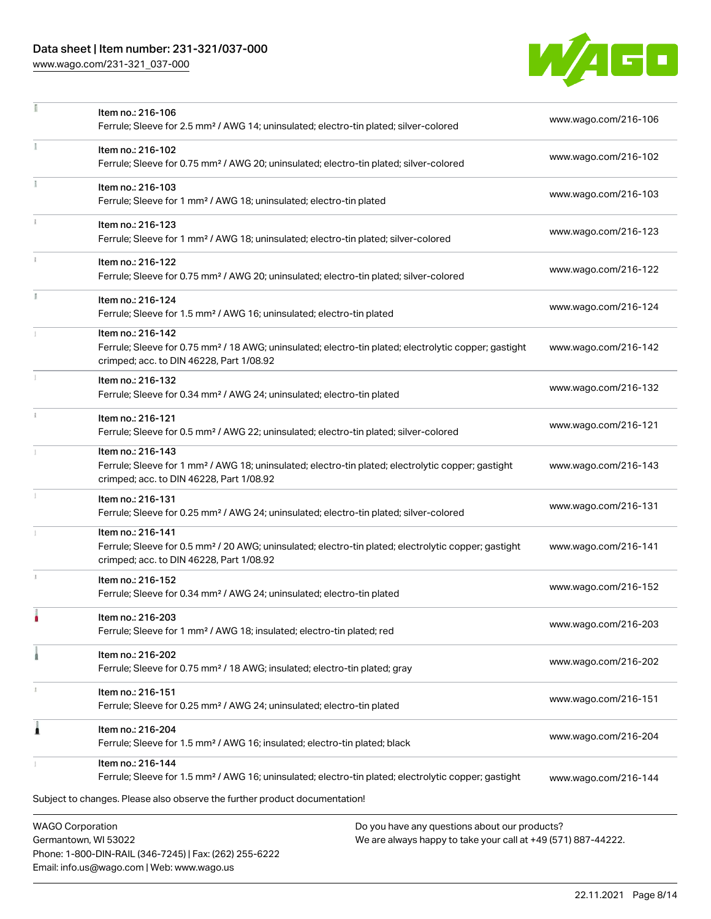## Data sheet | Item number: 231-321/037-000

Phone: 1-800-DIN-RAIL (346-7245) | Fax: (262) 255-6222

Email: info.us@wago.com | Web: www.wago.us

[www.wago.com/231-321\\_037-000](http://www.wago.com/231-321_037-000)



|    | Item no.: 216-106<br>Ferrule; Sleeve for 2.5 mm <sup>2</sup> / AWG 14; uninsulated; electro-tin plated; silver-colored                                                             |                                                                                                                | www.wago.com/216-106 |
|----|------------------------------------------------------------------------------------------------------------------------------------------------------------------------------------|----------------------------------------------------------------------------------------------------------------|----------------------|
|    | Item no.: 216-102<br>Ferrule; Sleeve for 0.75 mm <sup>2</sup> / AWG 20; uninsulated; electro-tin plated; silver-colored                                                            |                                                                                                                | www.wago.com/216-102 |
|    | Item no.: 216-103<br>Ferrule; Sleeve for 1 mm <sup>2</sup> / AWG 18; uninsulated; electro-tin plated                                                                               |                                                                                                                | www.wago.com/216-103 |
|    | Item no.: 216-123<br>Ferrule; Sleeve for 1 mm <sup>2</sup> / AWG 18; uninsulated; electro-tin plated; silver-colored                                                               |                                                                                                                | www.wago.com/216-123 |
|    | Item no.: 216-122<br>Ferrule; Sleeve for 0.75 mm <sup>2</sup> / AWG 20; uninsulated; electro-tin plated; silver-colored                                                            |                                                                                                                | www.wago.com/216-122 |
| Ĭ. | Item no.: 216-124<br>Ferrule; Sleeve for 1.5 mm <sup>2</sup> / AWG 16; uninsulated; electro-tin plated                                                                             |                                                                                                                | www.wago.com/216-124 |
|    | Item no.: 216-142<br>Ferrule; Sleeve for 0.75 mm <sup>2</sup> / 18 AWG; uninsulated; electro-tin plated; electrolytic copper; gastight<br>crimped; acc. to DIN 46228, Part 1/08.92 |                                                                                                                | www.wago.com/216-142 |
|    | Item no.: 216-132<br>Ferrule; Sleeve for 0.34 mm <sup>2</sup> / AWG 24; uninsulated; electro-tin plated                                                                            |                                                                                                                | www.wago.com/216-132 |
|    | Item no.: 216-121<br>Ferrule; Sleeve for 0.5 mm <sup>2</sup> / AWG 22; uninsulated; electro-tin plated; silver-colored                                                             |                                                                                                                | www.wago.com/216-121 |
|    | Item no.: 216-143<br>Ferrule; Sleeve for 1 mm <sup>2</sup> / AWG 18; uninsulated; electro-tin plated; electrolytic copper; gastight<br>crimped; acc. to DIN 46228, Part 1/08.92    |                                                                                                                | www.wago.com/216-143 |
|    | Item no.: 216-131<br>Ferrule; Sleeve for 0.25 mm <sup>2</sup> / AWG 24; uninsulated; electro-tin plated; silver-colored                                                            |                                                                                                                | www.wago.com/216-131 |
|    | Item no.: 216-141<br>Ferrule; Sleeve for 0.5 mm <sup>2</sup> / 20 AWG; uninsulated; electro-tin plated; electrolytic copper; gastight<br>crimped; acc. to DIN 46228, Part 1/08.92  |                                                                                                                | www.wago.com/216-141 |
|    | Item no.: 216-152<br>Ferrule; Sleeve for 0.34 mm <sup>2</sup> / AWG 24; uninsulated; electro-tin plated                                                                            |                                                                                                                | www.wago.com/216-152 |
|    | ltem no.: 216-203<br>Ferrule; Sleeve for 1 mm <sup>2</sup> / AWG 18; insulated; electro-tin plated; red                                                                            |                                                                                                                | www.wago.com/216-203 |
|    | Item no.: 216-202<br>Ferrule; Sleeve for 0.75 mm <sup>2</sup> / 18 AWG; insulated; electro-tin plated; gray                                                                        |                                                                                                                | www.wago.com/216-202 |
|    | Item no.: 216-151<br>Ferrule; Sleeve for 0.25 mm <sup>2</sup> / AWG 24; uninsulated; electro-tin plated                                                                            |                                                                                                                | www.wago.com/216-151 |
|    | Item no.: 216-204<br>Ferrule; Sleeve for 1.5 mm <sup>2</sup> / AWG 16; insulated; electro-tin plated; black                                                                        |                                                                                                                | www.wago.com/216-204 |
|    | Item no.: 216-144<br>Ferrule; Sleeve for 1.5 mm <sup>2</sup> / AWG 16; uninsulated; electro-tin plated; electrolytic copper; gastight                                              |                                                                                                                | www.wago.com/216-144 |
|    | Subject to changes. Please also observe the further product documentation!                                                                                                         |                                                                                                                |                      |
|    | <b>WAGO Corporation</b><br>Germantown, WI 53022                                                                                                                                    | Do you have any questions about our products?<br>We are always happy to take your call at +49 (571) 887-44222. |                      |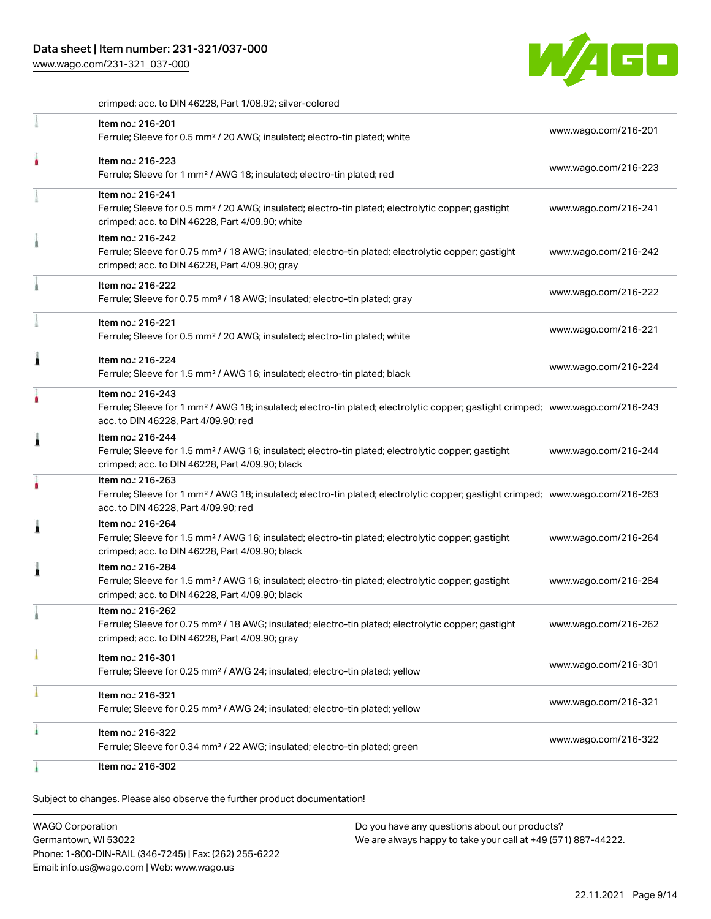

crimped; acc. to DIN 46228, Part 1/08.92; silver-colored

| Item no.: 216-201<br>Ferrule; Sleeve for 0.5 mm <sup>2</sup> / 20 AWG; insulated; electro-tin plated; white                                                                                             | www.wago.com/216-201 |
|---------------------------------------------------------------------------------------------------------------------------------------------------------------------------------------------------------|----------------------|
| Item no.: 216-223<br>Ferrule; Sleeve for 1 mm <sup>2</sup> / AWG 18; insulated; electro-tin plated; red                                                                                                 | www.wago.com/216-223 |
| Item no.: 216-241<br>Ferrule; Sleeve for 0.5 mm <sup>2</sup> / 20 AWG; insulated; electro-tin plated; electrolytic copper; gastight<br>crimped; acc. to DIN 46228, Part 4/09.90; white                  | www.wago.com/216-241 |
| Item no.: 216-242<br>Ferrule; Sleeve for 0.75 mm <sup>2</sup> / 18 AWG; insulated; electro-tin plated; electrolytic copper; gastight<br>crimped; acc. to DIN 46228, Part 4/09.90; gray                  | www.wago.com/216-242 |
| Item no.: 216-222<br>Ferrule; Sleeve for 0.75 mm <sup>2</sup> / 18 AWG; insulated; electro-tin plated; gray                                                                                             | www.wago.com/216-222 |
| Item no.: 216-221<br>Ferrule; Sleeve for 0.5 mm <sup>2</sup> / 20 AWG; insulated; electro-tin plated; white                                                                                             | www.wago.com/216-221 |
| Item no.: 216-224<br>Ferrule; Sleeve for 1.5 mm <sup>2</sup> / AWG 16; insulated; electro-tin plated; black                                                                                             | www.wago.com/216-224 |
| Item no.: 216-243<br>Ferrule; Sleeve for 1 mm <sup>2</sup> / AWG 18; insulated; electro-tin plated; electrolytic copper; gastight crimped; www.wago.com/216-243<br>acc. to DIN 46228, Part 4/09.90; red |                      |
| Item no.: 216-244<br>Ferrule; Sleeve for 1.5 mm <sup>2</sup> / AWG 16; insulated; electro-tin plated; electrolytic copper; gastight<br>crimped; acc. to DIN 46228, Part 4/09.90; black                  | www.wago.com/216-244 |
| Item no.: 216-263<br>Ferrule; Sleeve for 1 mm <sup>2</sup> / AWG 18; insulated; electro-tin plated; electrolytic copper; gastight crimped; www.wago.com/216-263<br>acc. to DIN 46228, Part 4/09.90; red |                      |
| Item no.: 216-264<br>Ferrule; Sleeve for 1.5 mm <sup>2</sup> / AWG 16; insulated; electro-tin plated; electrolytic copper; gastight<br>crimped; acc. to DIN 46228, Part 4/09.90; black                  | www.wago.com/216-264 |
| Item no.: 216-284<br>Ferrule; Sleeve for 1.5 mm <sup>2</sup> / AWG 16; insulated; electro-tin plated; electrolytic copper; gastight<br>crimped; acc. to DIN 46228, Part 4/09.90; black                  | www.wago.com/216-284 |
| Item no.: 216-262<br>Ferrule; Sleeve for 0.75 mm <sup>2</sup> / 18 AWG; insulated; electro-tin plated; electrolytic copper; gastight<br>crimped; acc. to DIN 46228, Part 4/09.90; gray                  | www.wago.com/216-262 |
| Item no.: 216-301<br>Ferrule; Sleeve for 0.25 mm <sup>2</sup> / AWG 24; insulated; electro-tin plated; yellow                                                                                           | www.wago.com/216-301 |
| Item no.: 216-321<br>Ferrule; Sleeve for 0.25 mm <sup>2</sup> / AWG 24; insulated; electro-tin plated; yellow                                                                                           | www.wago.com/216-321 |
| Item no.: 216-322<br>Ferrule; Sleeve for 0.34 mm <sup>2</sup> / 22 AWG; insulated; electro-tin plated; green                                                                                            | www.wago.com/216-322 |
| Item no.: 216-302                                                                                                                                                                                       |                      |

Subject to changes. Please also observe the further product documentation!

WAGO Corporation Germantown, WI 53022 Phone: 1-800-DIN-RAIL (346-7245) | Fax: (262) 255-6222 Email: info.us@wago.com | Web: www.wago.us Do you have any questions about our products? We are always happy to take your call at +49 (571) 887-44222.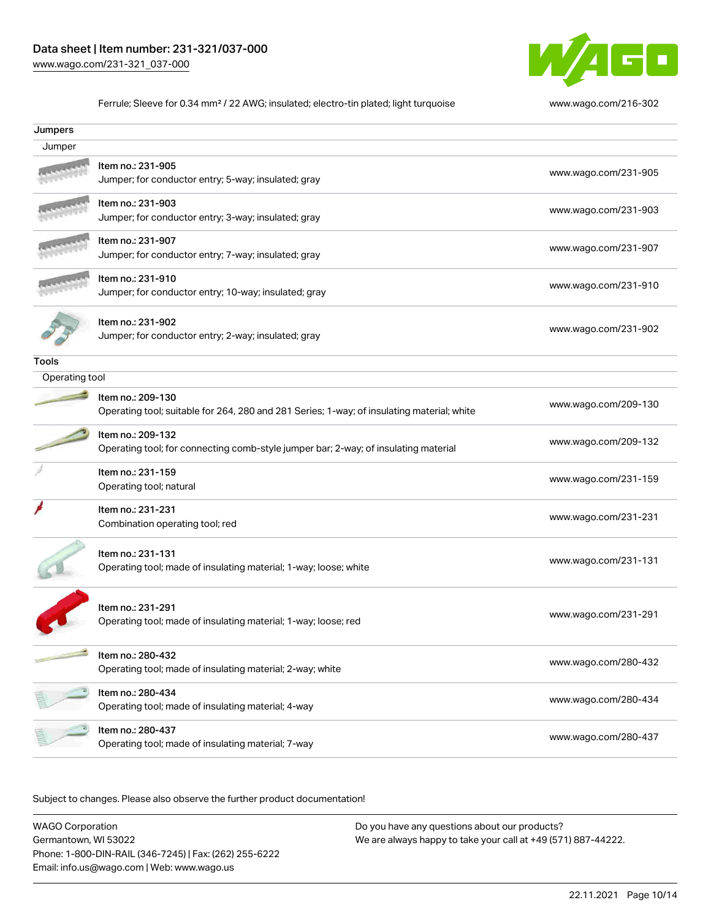

Ferrule; Sleeve for 0.34 mm² / 22 AWG; insulated; electro-tin plated; light turquoise [www.wago.com/216-302](http://www.wago.com/216-302)

| Jumpers        |                                                                                                                 |                      |
|----------------|-----------------------------------------------------------------------------------------------------------------|----------------------|
| Jumper         |                                                                                                                 |                      |
|                | Item no.: 231-905<br>Jumper; for conductor entry; 5-way; insulated; gray                                        | www.wago.com/231-905 |
|                | Item no.: 231-903<br>Jumper; for conductor entry; 3-way; insulated; gray                                        | www.wago.com/231-903 |
|                | Item no.: 231-907<br>Jumper; for conductor entry; 7-way; insulated; gray                                        | www.wago.com/231-907 |
|                | Item no.: 231-910<br>Jumper; for conductor entry; 10-way; insulated; gray                                       | www.wago.com/231-910 |
|                | Item no.: 231-902<br>Jumper; for conductor entry; 2-way; insulated; gray                                        | www.wago.com/231-902 |
| Tools          |                                                                                                                 |                      |
| Operating tool |                                                                                                                 |                      |
|                | Item no.: 209-130<br>Operating tool; suitable for 264, 280 and 281 Series; 1-way; of insulating material; white | www.wago.com/209-130 |
|                | Item no.: 209-132<br>Operating tool; for connecting comb-style jumper bar; 2-way; of insulating material        | www.wago.com/209-132 |
|                | Item no.: 231-159<br>Operating tool; natural                                                                    | www.wago.com/231-159 |
|                | Item no.: 231-231<br>Combination operating tool; red                                                            | www.wago.com/231-231 |
|                | Item no.: 231-131<br>Operating tool; made of insulating material; 1-way; loose; white                           | www.wago.com/231-131 |
|                | Item no.: 231-291<br>Operating tool; made of insulating material; 1-way; loose; red                             | www.wago.com/231-291 |
|                | Item no.: 280-432<br>Operating tool; made of insulating material; 2-way; white                                  | www.wago.com/280-432 |
|                | Item no.: 280-434<br>Operating tool; made of insulating material; 4-way                                         | www.wago.com/280-434 |
|                | Item no.: 280-437<br>Operating tool; made of insulating material; 7-way                                         | www.wago.com/280-437 |

Subject to changes. Please also observe the further product documentation!

WAGO Corporation Germantown, WI 53022 Phone: 1-800-DIN-RAIL (346-7245) | Fax: (262) 255-6222 Email: info.us@wago.com | Web: www.wago.us Do you have any questions about our products? We are always happy to take your call at +49 (571) 887-44222.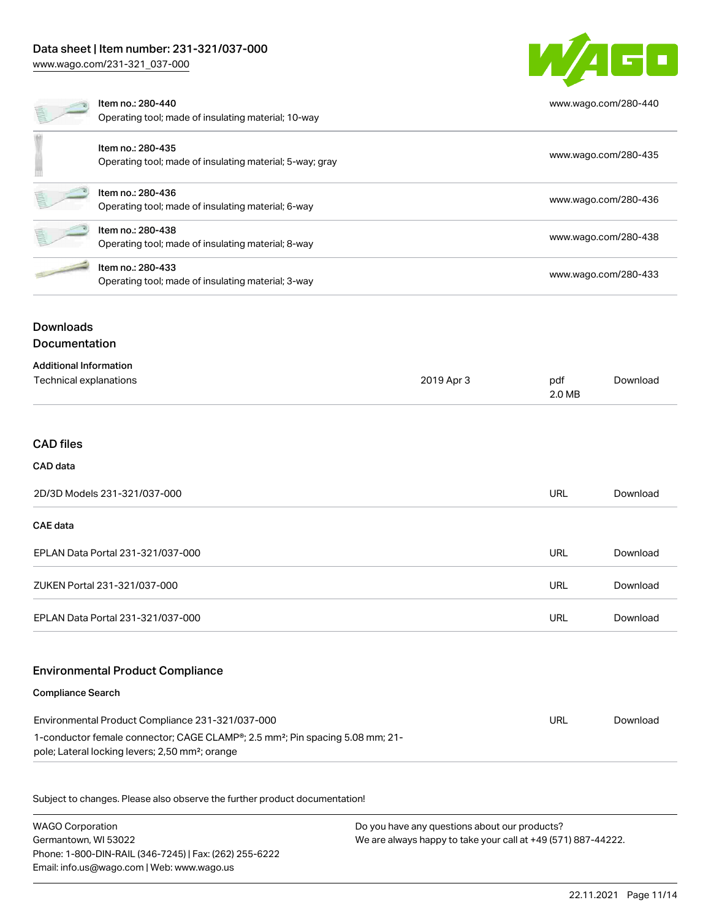# Data sheet | Item number: 231-321/037-000

[www.wago.com/231-321\\_037-000](http://www.wago.com/231-321_037-000)



|                      | Item no.: 280-440<br>Operating tool; made of insulating material; 10-way      | www.wago.com/280-440 |
|----------------------|-------------------------------------------------------------------------------|----------------------|
|                      | Item no.: 280-435<br>Operating tool; made of insulating material; 5-way; gray | www.wago.com/280-435 |
|                      | Item no.: 280-436<br>Operating tool; made of insulating material; 6-way       | www.wago.com/280-436 |
|                      | Item no.: 280-438<br>Operating tool; made of insulating material; 8-way       | www.wago.com/280-438 |
|                      | Item no.: 280-433<br>Operating tool; made of insulating material; 3-way       | www.wago.com/280-433 |
| <b>Downloads</b>     |                                                                               |                      |
| <b>Documentation</b> |                                                                               |                      |

| <b>Additional Information</b> |            |               |          |
|-------------------------------|------------|---------------|----------|
| Technical explanations        | 2019 Apr 3 | pdf<br>2.0 MB | Download |

#### CAD files

### CAD data

| 2D/3D Models 231-321/037-000      | URL        | Download |
|-----------------------------------|------------|----------|
| CAE data                          |            |          |
| EPLAN Data Portal 231-321/037-000 | <b>URL</b> | Download |
| ZUKEN Portal 231-321/037-000      | URL        | Download |
| EPLAN Data Portal 231-321/037-000 | URL        | Download |

### Environmental Product Compliance

#### Compliance Search

| Environmental Product Compliance 231-321/037-000                                                       | URL | Download |
|--------------------------------------------------------------------------------------------------------|-----|----------|
| 1-conductor female connector; CAGE CLAMP <sup>®</sup> ; 2.5 mm <sup>2</sup> ; Pin spacing 5.08 mm; 21- |     |          |
| pole; Lateral locking levers; 2,50 mm <sup>2</sup> ; orange                                            |     |          |

Subject to changes. Please also observe the further product documentation!

WAGO Corporation Germantown, WI 53022 Phone: 1-800-DIN-RAIL (346-7245) | Fax: (262) 255-6222 Email: info.us@wago.com | Web: www.wago.us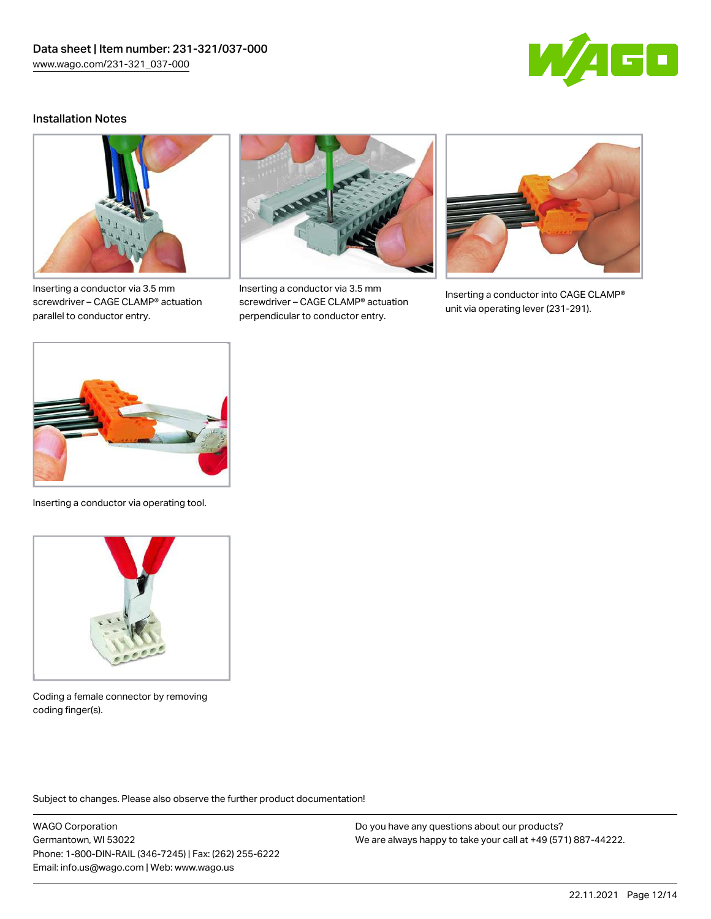

### Installation Notes



Inserting a conductor via 3.5 mm screwdriver – CAGE CLAMP® actuation parallel to conductor entry.



Inserting a conductor via 3.5 mm screwdriver – CAGE CLAMP® actuation perpendicular to conductor entry.



Inserting a conductor into CAGE CLAMP® unit via operating lever (231-291).



Inserting a conductor via operating tool.



Coding a female connector by removing coding finger(s).

Subject to changes. Please also observe the further product documentation!

WAGO Corporation Germantown, WI 53022 Phone: 1-800-DIN-RAIL (346-7245) | Fax: (262) 255-6222 Email: info.us@wago.com | Web: www.wago.us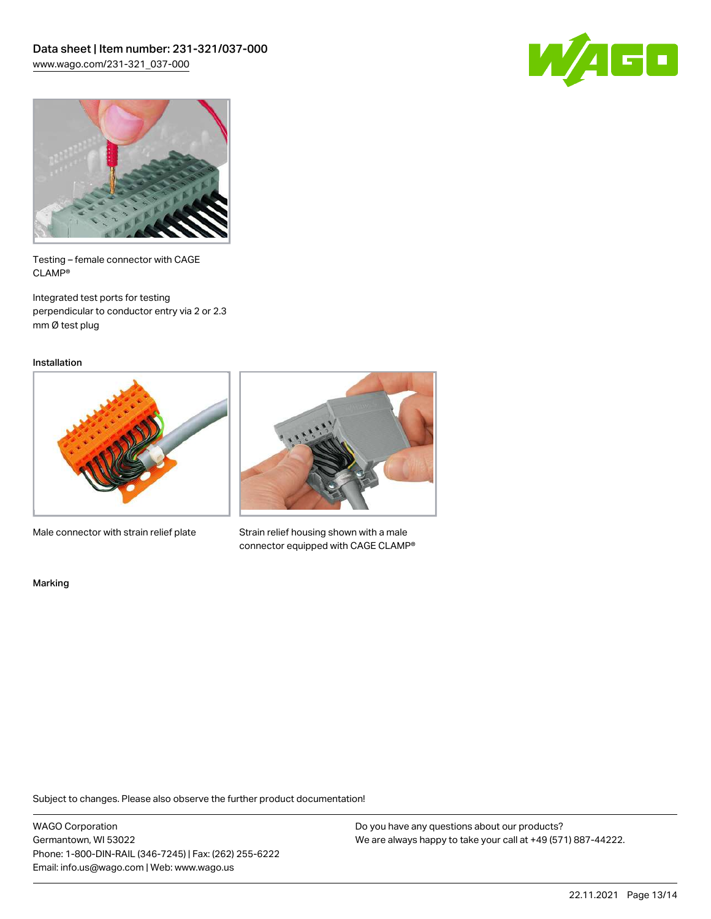



Testing – female connector with CAGE CLAMP®

Integrated test ports for testing perpendicular to conductor entry via 2 or 2.3 mm Ø test plug

Installation



Male connector with strain relief plate



Strain relief housing shown with a male connector equipped with CAGE CLAMP®

Marking

Subject to changes. Please also observe the further product documentation!

WAGO Corporation Germantown, WI 53022 Phone: 1-800-DIN-RAIL (346-7245) | Fax: (262) 255-6222 Email: info.us@wago.com | Web: www.wago.us